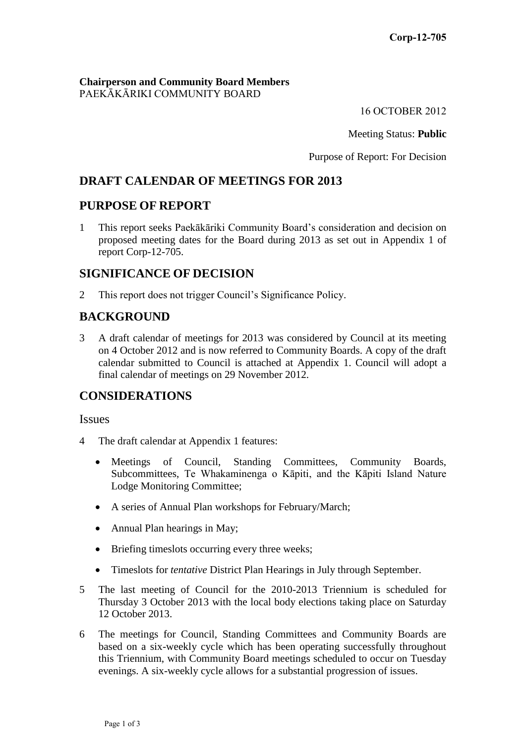#### **Chairperson and Community Board Members** PAEKĀKĀRIKI COMMUNITY BOARD

16 OCTOBER 2012

Meeting Status: **Public**

Purpose of Report: For Decision

# **DRAFT CALENDAR OF MEETINGS FOR 2013**

## **PURPOSE OF REPORT**

1 This report seeks Paekākāriki Community Board's consideration and decision on proposed meeting dates for the Board during 2013 as set out in Appendix 1 of report Corp-12-705.

## **SIGNIFICANCE OF DECISION**

2 This report does not trigger Council's Significance Policy.

# **BACKGROUND**

3 A draft calendar of meetings for 2013 was considered by Council at its meeting on 4 October 2012 and is now referred to Community Boards. A copy of the draft calendar submitted to Council is attached at Appendix 1. Council will adopt a final calendar of meetings on 29 November 2012.

## **CONSIDERATIONS**

Issues

- 4 The draft calendar at Appendix 1 features:
	- Meetings of Council, Standing Committees, Community Boards, Subcommittees, Te Whakaminenga o Kāpiti, and the Kāpiti Island Nature Lodge Monitoring Committee;
	- A series of Annual Plan workshops for February/March;
	- Annual Plan hearings in May;
	- Briefing timeslots occurring every three weeks;
	- Timeslots for *tentative* District Plan Hearings in July through September.
- 5 The last meeting of Council for the 2010-2013 Triennium is scheduled for Thursday 3 October 2013 with the local body elections taking place on Saturday 12 October 2013.
- 6 The meetings for Council, Standing Committees and Community Boards are based on a six-weekly cycle which has been operating successfully throughout this Triennium, with Community Board meetings scheduled to occur on Tuesday evenings. A six-weekly cycle allows for a substantial progression of issues.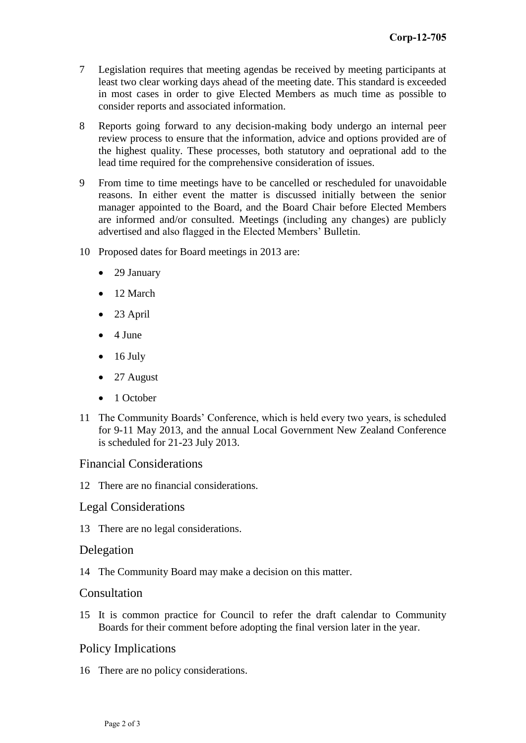- 7 Legislation requires that meeting agendas be received by meeting participants at least two clear working days ahead of the meeting date. This standard is exceeded in most cases in order to give Elected Members as much time as possible to consider reports and associated information.
- 8 Reports going forward to any decision-making body undergo an internal peer review process to ensure that the information, advice and options provided are of the highest quality. These processes, both statutory and oeprational add to the lead time required for the comprehensive consideration of issues.
- 9 From time to time meetings have to be cancelled or rescheduled for unavoidable reasons. In either event the matter is discussed initially between the senior manager appointed to the Board, and the Board Chair before Elected Members are informed and/or consulted. Meetings (including any changes) are publicly advertised and also flagged in the Elected Members' Bulletin.
- 10 Proposed dates for Board meetings in 2013 are:
	- 29 January
	- 12 March
	- 23 April
	- $\bullet$  4 June
	- $\bullet$  16 July
	- 27 August
	- 1 October
- 11 The Community Boards' Conference, which is held every two years, is scheduled for 9-11 May 2013, and the annual Local Government New Zealand Conference is scheduled for 21-23 July 2013.

#### Financial Considerations

12 There are no financial considerations.

#### Legal Considerations

13 There are no legal considerations.

#### Delegation

14 The Community Board may make a decision on this matter.

#### Consultation

15 It is common practice for Council to refer the draft calendar to Community Boards for their comment before adopting the final version later in the year.

#### Policy Implications

16 There are no policy considerations.